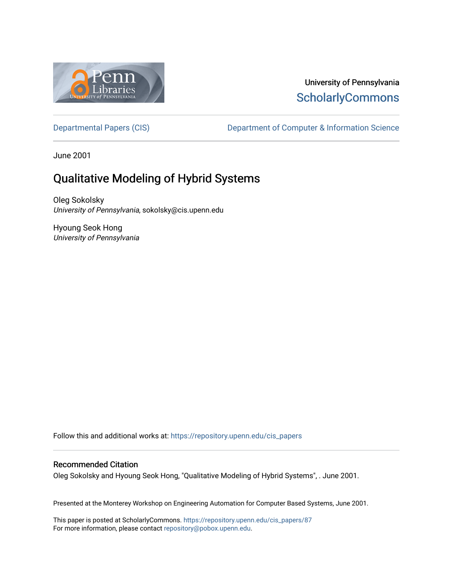

## University of Pennsylvania **ScholarlyCommons**

[Departmental Papers \(CIS\)](https://repository.upenn.edu/cis_papers) Department of Computer & Information Science

June 2001

# Qualitative Modeling of Hybrid Systems

Oleg Sokolsky University of Pennsylvania, sokolsky@cis.upenn.edu

Hyoung Seok Hong University of Pennsylvania

Follow this and additional works at: [https://repository.upenn.edu/cis\\_papers](https://repository.upenn.edu/cis_papers?utm_source=repository.upenn.edu%2Fcis_papers%2F87&utm_medium=PDF&utm_campaign=PDFCoverPages)

### Recommended Citation

Oleg Sokolsky and Hyoung Seok Hong, "Qualitative Modeling of Hybrid Systems", . June 2001.

Presented at the Monterey Workshop on Engineering Automation for Computer Based Systems, June 2001.

This paper is posted at ScholarlyCommons. [https://repository.upenn.edu/cis\\_papers/87](https://repository.upenn.edu/cis_papers/87)  For more information, please contact [repository@pobox.upenn.edu.](mailto:repository@pobox.upenn.edu)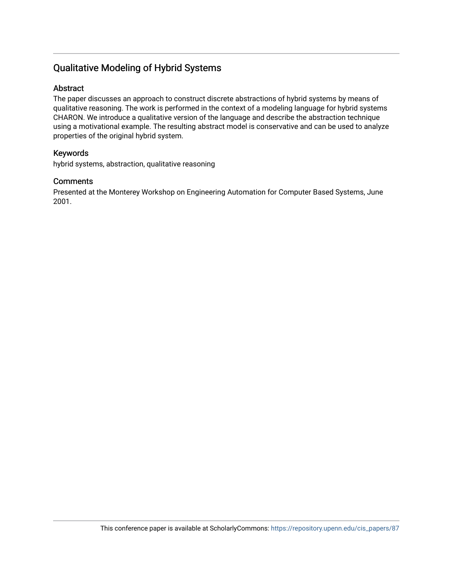## Qualitative Modeling of Hybrid Systems

### Abstract

The paper discusses an approach to construct discrete abstractions of hybrid systems by means of qualitative reasoning. The work is performed in the context of a modeling language for hybrid systems CHARON. We introduce a qualitative version of the language and describe the abstraction technique using a motivational example. The resulting abstract model is conservative and can be used to analyze properties of the original hybrid system.

### Keywords

hybrid systems, abstraction, qualitative reasoning

### **Comments**

Presented at the Monterey Workshop on Engineering Automation for Computer Based Systems, June 2001.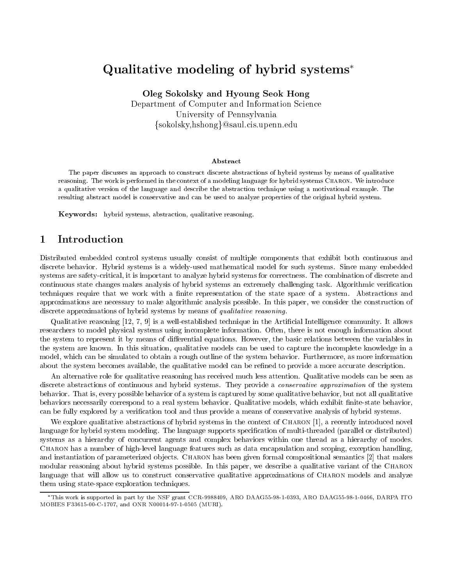## Qualitative modeling of hybrid systems

Oleg Sokolsky and Hyoung Seok Hong Department of Computer and Information Science University of Pennsylvania organizations of Pennsylvania organizations of Pennsylvania organizations of Pennsylvania organizations of the Pennsylvanization of the Pennsylvanization of the Pennsylvanization of the Pennsylva fsokolsky,hshongg@saul.cis.upenn.edu

### Abstract

The paper discusses an approach to construct discrete abstractions of hybrid systems by means of qualitativereasoning. The work is performed in the context of a modeling language for hybrid systems Charon. We introduce a qualitative version of the language and describe the abstraction technique using a motivational example. The resulting abstract model is conservative and can be used to analyze properties of the original hybrid system.

Keywords: hybrid systems, abstraction, qualitative reasoning.

### Introduction

Distributed embedded control systems usually consist of multiple components that exhibit both continuous and discrete behavior. Hybrid systems is a widely-used mathematical model for such systems. Since many embedded systems are safety-critical, it is important to analyze hybrid systems for correctness. The combination of discrete and continuous state changes makes analysis of hybrid systems an extremely challenging task. Algorithmic verification techniques require that we work with a finite representation of the state space of a system. Abstractions and approximations are necessary to make algorithmic analysis possible. In this paper, we consider the construction of discrete approximations of hybrid systems by means of qualitative reasoning.

Qualitative reasoning [12, 7, 9] is a well-established technique in the Articial Intelligence community. It allows researchers to model physical systems using incomplete information. Often, there is not enough information about the system to represent it by means of differential equations. However, the basic relations between the variables in the system are known. In this situation, qualitative models can be used to capture the incomplete knowledge in a model, which can be simulated to obtain a rough outline of the system behavior. Furthermore, as more information about the system becomes available, the qualitative model can be refined to provide a more accurate description.

An alternative role for qualitative reasoning has received much less attention. Qualitative models can be seen as discrete abstractions of continuous and hybrid systems. They provide a conservative approximation of the system behavior. That is, every possible behavior of a system is captured by some qualitative behavior, but not all qualitative behaviors necessarily correspond to a real system behavior. Qualitative models, which exhibit nite-state behavior, can be fully explored by a verification tool and thus provide a means of conservative analysis of hybrid systems.

We explore qualitative abstractions of hybrid systems in the context of CHARON [1], a recently introduced novel language for hybrid system modeling. The language supports specification of multi-threaded (parallel or distributed) systems as a hierarchy of concurrent agents and complex behaviors within one thread as a hierarchy of modes. Charon has a number of high-level language features such as data encapsulation and scoping, exception handling, and instantiation of parameterized objects. CHARON has been given formal compositional semantics [2] that makes modular reasoning about hybrid systems possible. In this paper, we describe a qualitative variant of the Charon language that will allow us to construct conservative qualitative approximations of CHARON models and analyze them using state-space exploration techniques.

This work is supported in part by the NSF grant CCR-9988409, ARO DAAG55-98-1-0393, ARO DAAG55-98-1-0466, DARPA ITO MOBIES F33615-00-C-1707, and ONR N00014-97-1-0505 (MURI).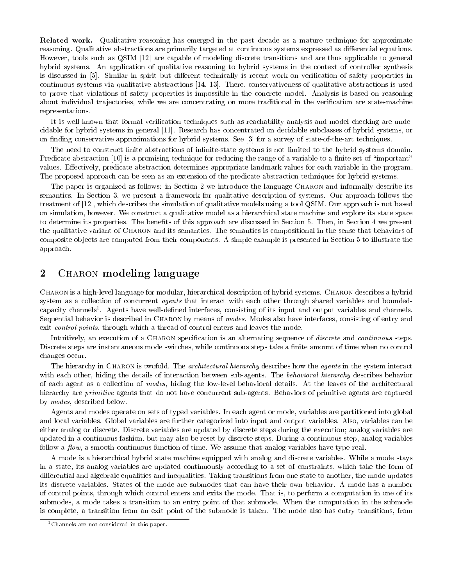Related work. Qualitative reasoning has emerged in the past decade as a mature technique for approximate reasoning. Qualitative abstractions are primarily targeted at continuous systems expressed as differential equations. However, tools such as QSIM [12] are capable of modeling discrete transitions and are thus applicable to general hybrid systems. An application of qualitative reasoning to hybrid systems in the context of controller synthesis is discussed in [5]. Similar in spirit but different technically is recent work on verification of safety properties in continuous systems via qualitative abstractions [14, 13]. There, conservativeness of qualitative abstractions is used to prove that violations of safety properties is impossible in the concrete model. Analysis is based on reasoning about individual trajectories, while we are concentrating on more traditional in the verification are state-machine representations.

It is well-known that formal verification techniques such as reachability analysis and model checking are undecidable for hybrid systems in general [11]. Research has concentrated on decidable subclasses of hybrid systems, or on finding conservative approximations for hybrid systems. See [3] for a survey of state-of-the-art techniques.

The need to construct finite abstractions of infinite-state systems is not limited to the hybrid systems domain. Predicate abstraction  $[10]$  is a promising technique for reducing the range of a variable to a finite set of "important" values. Effectively, predicate abstraction determines appropriate landmark values for each variable in the program. The proposed approach can be seen as an extension of the predicate abstraction techniques for hybrid systems.

The paper is organized as follows: in Section 2 we introduce the language CHARON and informally describe its semantics. In Section 3, we present a framework for qualitative description of systems. Our approach follows the treatment of [12], which describes the simulation of qualitative models using a tool QSIM. Our approach is not based on simulation, however. We construct a qualitative model as a hierarchical state machine and explore its state space to determine its properties. The benets of this approach are discussed in Section 5. Then, in Section 4 we present the qualitative variant of Charon and its semantics. The semantics is compositional in the sense that behaviors of composite ob jects are computed from their components. A simple example is presented in Section 5 to illustrate the approach.

#### $\overline{2}$ CHARON modeling language

CHARON is a high-level language for modular, hierarchical description of hybrid systems. CHARON describes a hybrid system as a collection of concurrent *agents* that interact with each other through shared variables and boundedcapacity channels". Agents have well-defined interfaces, consisting of its input and output variables and channels. Sequential behavior is described in Charon by means of modes. Modes also have interfaces, consisting of entry and exit *control points*, through which a thread of control enters and leaves the mode.

Intuitively, an execution of a CHARON specification is an alternating sequence of *discrete* and *continuous* steps. Discrete steps are instantaneous mode switches, while continuous steps take a finite amount of time when no control changes occur.

The hierarchy in CHARON is twofold. The *architectural hierarchy* describes how the *agents* in the system interact with each other, hiding the details of interaction between sub-agents. The *behavioral hierarchy* describes behavior of each agent as a collection of modes, hiding the low-level behavioral details. At the leaves of the architectural hierarchy are *primitive* agents that do not have concurrent sub-agents. Behaviors of primitive agents are captured by modes, described below.

Agents and modes operate on sets of typed variables. In each agent or mode, variables are partitioned into global and local variables. Global variables are further categorized into input and output variables. Also, variables can be either analog or discrete. Discrete variables are updated by discrete steps during the execution; analog variables are updated in a continuous fashion, but may also be reset by discrete steps. During a continuous step, analog variables follow a  $flow$ , a smooth continuous function of time. We assume that analog variables have type real.

A mode is a hierarchical hybrid state machine equipped with analog and discrete variables. While a mode stays in a state, its analog variables are updated continuously according to a set of constraints, which take the form of differential and algebraic equalities and inequalities. Taking transitions from one state to another, the mode updates its discrete variables. States of the mode are submodes that can have their own behavior. A mode has a number of control points, through which control enters and exits the mode. That is, to perform a computation in one of its submodes, a mode takes a transition to an entry point of that submode. When the computation in the submode is complete, a transition from an exit point of the submode is taken. The mode also has entry transitions, from

 $1$ Channels are not considered in this paper.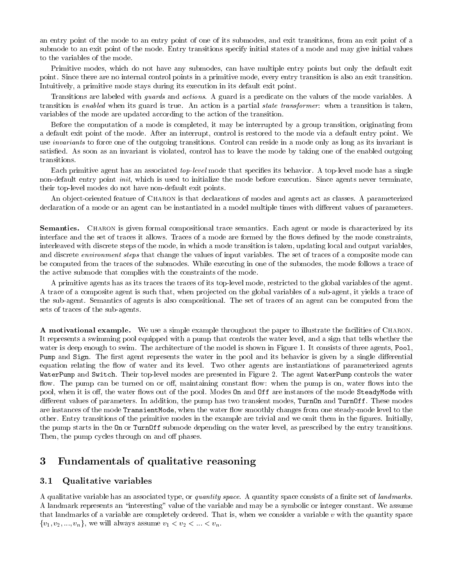an entry point of the mode to an entry point of one of its submodes, and exit transitions, from an exit point of a submode to an exit point of the mode. Entry transitions specify initial states of a mode and may give initial values to the variables of the mode.

Primitive modes, which do not have any submodes, can have multiple entry points but only the default exit point. Since there are no internal control points in a primitive mode, every entry transition is also an exit transition. Intuitively, a primitive mode stays during its execution in its default exit point.

Transitions are labeled with *guards* and *actions*. A guard is a predicate on the values of the mode variables. A transition is enabled when its guard is true. An action is a partial state transformer: when a transition is taken, variables of the mode are updated according to the action of the transition.

Before the computation of a mode is completed, it may be interrupted by a group transition, originating from a default exit point of the mode. After an interrupt, control is restored to the mode via a default entry point. We use invariants to force one of the outgoing transitions. Control can reside in a mode only as long as its invariant is satisfied. As soon as an invariant is violated, control has to leave the mode by taking one of the enabled outgoing transitions.

Each primitive agent has an associated *top-level* mode that specifies its behavior. A top-level mode has a single non-default entry point *init*, which is used to initialize the mode before execution. Since agents never terminate, their top-level modes do not have non-default exit points.

An ob ject-oriented feature of Charon is that declarations of modes and agents act as classes. A parameterized declaration of a mode or an agent can be instantiated in a model multiple times with different values of parameters.

Semantics. CHARON is given formal compositional trace semantics. Each agent or mode is characterized by its interface and the set of traces it allows. Traces of a mode are formed by the flows defined by the mode constraints, interleaved with discrete steps of the mode, in which a mode transition is taken, updating local and output variables, and discrete *environment steps* that change the values of input variables. The set of traces of a composite mode can be computed from the traces of the submodes. While executing in one of the submodes, the mode follows a trace of the active submode that complies with the constraints of the mode.

A primitive agents has as its traces the traces of its top-level mode, restricted to the global variables of the agent. A trace of a composite agent is such that, when projected on the global variables of a sub-agent, it yields a trace of the sub-agent. Semantics of agents is also compositional. The set of traces of an agent can be computed from the sets of traces of the sub-agents.

A motivational example. We use a simple example throughout the paper to illustrate the facilities of Charon. It represents a swimming pool equipped with a pump that controls the water level, and a sign that tells whether the water is deep enough to swim. The architecture of the model is shown in Figure 1. It consists of three agents, Pool, Pump and Sign. The rst agent represents the water in the pool and its behavior is given by a single dierential equation relating the flow of water and its level. Two other agents are instantiations of parameterized agents waterPump and Switch. Their top-level modes are presented in Figure 2. The agent WaterPump controls the waterPu flow. The pump can be turned on or off, maintaining constant flow: when the pump is on, water flows into the pool, when it is off, the water flows out of the pool. Modes **On** and **Off** are instances of the mode SteadyMode with different values of parameters. In addition, the pump has two transient modes, TurnOn and TurnOff. These modes are instances of the mode TransientMode, when the water flow smoothly changes from one steady-mode level to the other. Entry transitions of the primitive modes in the example are trivial and we omit them in the gures. Initially, the pump starts in the On or TurnOff submode depending on the water level, as prescribed by the entry transitions. Then, the pump cycles through on and off phases.

#### 3Fundamentals of qualitative reasoning

#### 3.1Qualitative variables

A qualitative variable has an associated type, or quantity space. A quantity space consists of a finite set of landmarks. A landmark represents an "interesting" value of the variable and may be a symbolic or integer constant. We assume that landmarks of a variable are completely ordered. That is, when we consider a variable  $v$  with the quantity space  $\{v_1, v_2, ..., v_n\}$ , we will always assume  $v_1 < v_2 < ... < v_n$ .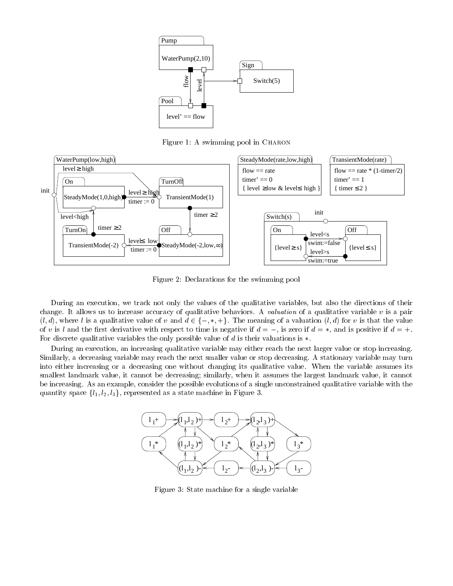

Figure 1: A swimming pool in CHARON



Figure 2: Declarations for the swimming pool

During an execution, we track not only the values of the qualitative variables, but also the directions of their change. It allows us to increase accuracy of qualitative behaviors. A valuation of a qualitative variable v is a pair  $(l, d)$ , where l is a qualitative value of v and  $d \in \{-, *, +\}.$  The meaning of a valuation  $(l, d)$  for v is that the value of v is l and the first derivative with respect to time is negative if  $d = -$ , is zero if  $d = *$ , and is positive if  $d = +$ . For discrete qualitative variables the only possible value of  $d$  is their valuations is  $\ast$ .

During an execution, an increasing qualitative variable may either reach the next larger value or stop increasing. Similarly, a decreasing variable may reach the next smaller value or stop decreasing. A stationary variable may turn into either increasing or a decreasing one without changing its qualitative value. When the variable assumes its smallest landmark value, it cannot be decreasing; similarly, when it assumes the largest landmark value, it cannot be increasing. As an example, consider the possible evolutions of a single unconstrained qualitative variable with the quantity space  $\{l_1, l_2, l_3\}$ , represented as a state machine in Figure 3.



Figure 3: State machine for a single variable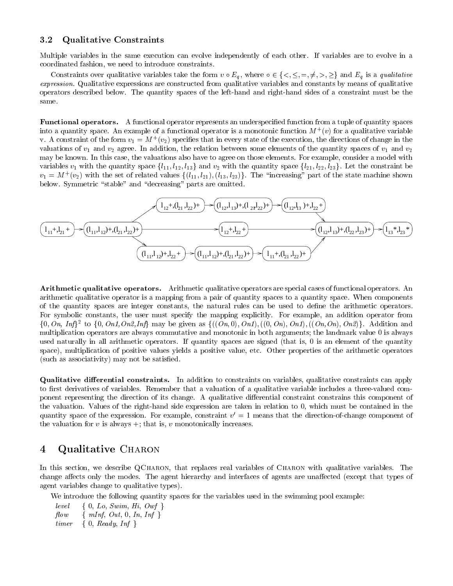#### 3.2Qualitative Constraints

Multiple variables in the same execution can evolve independently of each other. If variables are to evolve in a coordinated fashion, we need to introduce constraints.

Constraints over qualitative variables take the form  $v \circ E_q$ , where  $\circ \in \{<,\leq,=,\neq,>,\geq\}$  and  $E_q$  is a qualitative expression. Qualitative expressions are constructed from qualitative variables and constants by means of qualitative operators described below. The quantity spaces of the left-hand and right-hand sides of a constraint must be the same.

Functional operators. A functional operator represents an underspecified function from a tuple of quantity spaces into a quantity space. An example of a functional operator is a monotonic function  $M^+(v)$  for a qualitative variable v. A constraint of the form  $v_1 = m + (v_2)$  specifies that in every state of the execution, the directions of change in the valuations of  $v_1$  and  $v_2$  agree. In addition, the relation between some elements of the quantity spaces of  $v_1$  and  $v_2$ may be known. In this case, the valuations also have to agree on those elements. For example, consider a model with variables  $v_1$  with the quantity space  $\{l_{11}, l_{12}, l_{13}\}$  and  $v_2$  with the quantity space  $\{l_{21}, l_{22}, l_{23}\}$ . Let the constraint be  $v_1 = M^+(v_2)$  with the set of related values  $\{(l_{11}, l_{21}), (l_{13}, l_{23})\}$ . The "increasing" part of the state machine shown below. Symmetric "stable" and "decreasing" parts are omitted.



Arithmetic qualitative operators. Arithmetic qualitative operators are special cases of functional operators. An arithmetic qualitative operator is a mapping from a pair of quantity spaces to a quantity space. When components of the quantity spaces are integer constants, the natural rules can be used to dene the arithmetic operators. For symbolic constants, the user must specify the mapping explicitly. For example, an addition operator from  $\{0, \text{On}, \text{Inf}\}^2$  to  $\{0, \text{On1}, \text{On2}, \text{Inf}\}$  may be given as  $\{((\text{On}, 0), \text{On1}), ((0, \text{On}), \text{On1}), ((\text{On}, \text{On}), \text{On2})\}$ . Addition and multiplication operators are always commutative and monotonic in both arguments; the landmark value 0 is always used naturally in all arithmetic operators. If quantity spaces are signed (that is, 0 is an element of the quantity space), multiplication of positive values yields a positive value, etc. Other properties of the arithmetic operators (such as associativity) may not be satisfied.

**Qualitative differential constraints.** In addition to constraints on variables, qualitative constraints can apply to first derivatives of variables. Remember that a valuation of a qualitative variable includes a three-valued component representing the direction of its change. A qualitative dierential constraint constrains this component of the valuation. Values of the right-hand side expression are taken in relation to 0, which must be contained in the quantity space of the expression. For example, constraint  $v_\parallel = 1$  means that the direction-of-change component of the valuation for  $v$  is always  $+$ ; that is,  $v$  monotonically increases.

#### 4Qualitative CHARON

In this section, we describe QCHARON, that replaces real variables of CHARON with qualitative variables. The change affects only the modes. The agent hierarchy and interfaces of agents are unaffected (except that types of agent variables change to qualitative types).

We introduce the following quantity spaces for the variables used in the swimming pool example:

level  $\{ 0, Lo, Swim, Hi, Owf \}$  $flow \{ mInf, Out, 0, In, Inf \}$ timer { 0, Ready, Inf }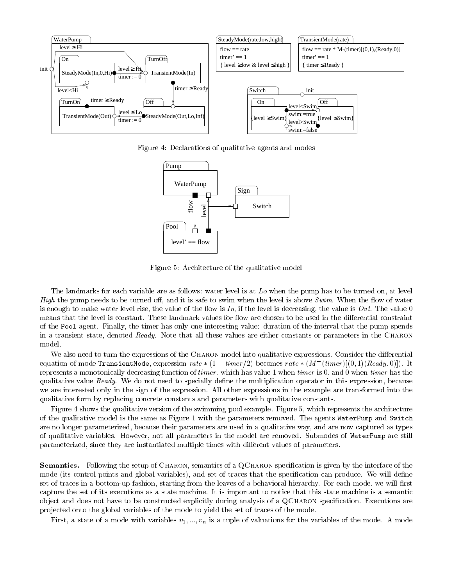

Figure 4: Declarations of qualitative agents and modes



Figure 5: Architecture of the qualitative model

The landmarks for each variable are as follows: water level is at L<sub>o</sub> when the pump has to be turned on, at level High the pump needs to be turned off, and it is safe to swim when the level is above  $Swim$ . When the flow of water is enough to make water level rise, the value of the flow is In, if the level is decreasing, the value is Out. The value 0 means that the level is constant. These landmark values for flow are chosen to be used in the differential constraint of the Pool agent. Finally, the timer has only one interesting value: duration of the interval that the pump spends in a transient state, denoted Ready. Note that all these values are either constants or parameters in the CHARON model.

We also need to turn the expressions of the CHARON model into qualitative expressions. Consider the differential equation of mode TransientMode, expression  $rate*(1 - timer/2)$  becomes  $rate*(M - (timer)||(0,1)(Ready,0)|)$ . It represents a monotonically decreasing function of *timer*, which has value 1 when *timer* is 0, and 0 when *timer* has the qualitative value Ready. We do not need to specially define the multiplication operator in this expression, because we are interested only in the sign of the expression. All other expressions in the example are transformed into the qualitative form by replacing concrete constants and parameters with qualitative constants.

Figure 4 shows the qualitative version of the swimming pool example. Figure 5, which represents the architecture of the qualitative model is the same as Figure 1 with the parameters removed. The agents WaterPump and Switch are no longer parameterized, because their parameters are used in a qualitative way, and are now captured as types of qualitative variables. However, not all parameters in the model are removed. Submodes of WaterPump are still parameterized, since they are instantiated multiple times with different values of parameters.

Semantics. Following the setup of CHARON, semantics of a QCHARON specification is given by the interface of the mode (its control points and global variables), and set of traces that the specification can produce. We will define set of traces in a bottom-up fashion, starting from the leaves of a behavioral hierarchy. For each mode, we will first capture the set of its executions as a state machine. It is important to notice that this state machine is a semantic object and does not have to be constructed explicitly during analysis of a QCHARON specification. Executions are pro jected onto the global variables of the mode to yield the set of traces of the mode.

First, a state of a mode with variables  $v_1, ..., v_n$  is a tuple of valuations for the variables of the mode. A mode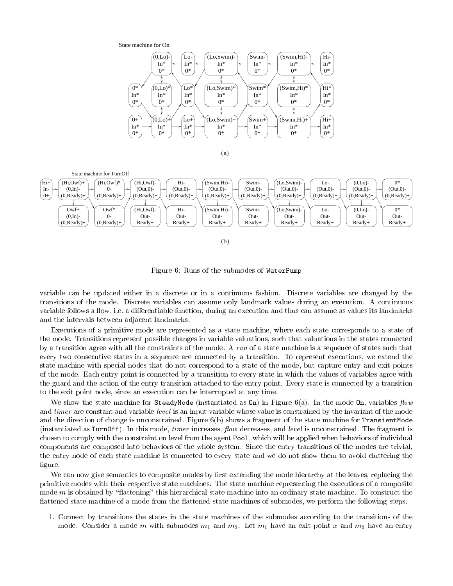



Figure 6: Runs of the submodes of WaterPump

variable can be updated either in a discrete or in a continuous fashion. Discrete variables are changed by the transitions of the mode. Discrete variables can assume only landmark values during an execution. A continuous variable follows a flow, i.e. a differentiable function, during an execution and thus can assume as values its landmarks and the intervals between adjacent landmarks.

Executions of a primitive mode are represented as a state machine, where each state corresponds to a state of the mode. Transitions represent possible changes in variable valuations, such that valuations in the states connected by a transition agree with all the constraints of the mode. A run of a state machine is a sequence of states such that every two consecutive states in a sequence are connected by a transition. To represent executions, we extend the state machine with special nodes that do not correspond to a state of the mode, but capture entry and exit points of the mode. Each entry point is connected by a transition to every state in which the values of variables agree with the guard and the action of the entry transition attached to the entry point. Every state is connected by a transition to the exit point node, since an execution can be interrupted at any time.

We show the state machine for SteadyMode (instantiated as  $0n$ ) in Figure 6(a). In the mode  $0n$ , variables flow and timer are constant and variable level is an input variable whose value is constrained by the invariant of the mode and the direction of change is unconstrained. Figure  $6(b)$  shows a fragment of the state machine for TransientMode (instantiated as TurnOff). In this mode, *timer* increases, *flow* decreases, and *level* is unconstrained. The fragment is chosen to comply with the constraint on level from the agent Pool, which will be applied when behaviors of individual components are composed into behaviors of the whole system. Since the entry transitions of the modes are trivial, the entry node of each state machine is connected to every state and we do not show them to avoid cluttering the figure.

We can now give semantics to composite modes by first extending the mode hierarchy at the leaves, replacing the primitive modes with their respective state machines. The state machine representing the executions of a composite mode  $m$  is obtained by "flattening" this hierarchical state machine into an ordinary state machine. To construct the flattened state machine of a mode from the flattened state machines of submodes, we perform the following steps.

1. Connect by transitions the states in the state machines of the submodes according to the transitions of the mode. Consider a mode m with submodes  $m_1$  and  $m_2$ . Let  $m_1$  have an exit point x and  $m_2$  have an entry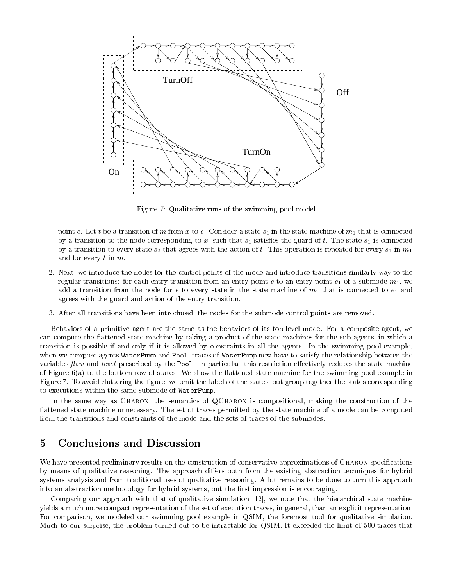

Figure 7: Qualitative runs of the swimming pool model

point e. Let t be a transition of m from x to e. Consider a state  $s_1$  in the state machine of  $m_1$  that is connected by a transition to the node corresponding to x, such that  $s_1$  satisfies the guard of t. The state  $s_1$  is connected by a transition to every state  $s_2$  that agrees with the action of t. This operation is repeated for every  $s_1$  in  $m_1$ and for every t in m.

- 2. Next, we introduce the nodes for the control points of the mode and introduce transitions similarly way to the regular transitions: for each entry transition from an entry point e to an entry point  $e_1$  of a submode  $m_1$ , we add a transition from the node for e to every state in the state machine of  $m_1$  that is connected to  $e_1$  and agrees with the guard and action of the entry transition.
- 3. After all transitions have been introduced, the nodes for the submode control points are removed.

Behaviors of a primitive agent are the same as the behaviors of its top-level mode. For a composite agent, we can compute the flattened state machine by taking a product of the state machines for the sub-agents, in which a transition is possible if and only if it is allowed by constraints in all the agents. In the swimming pool example, when we compose agents WaterPump and Pool, traces of WaterPump now have to satisfy the relationship between the variables flow and level prescribed by the Pool. In particular, this restriction effectively reduces the state machine of Figure  $6(a)$  to the bottom row of states. We show the flattened state machine for the swimming pool example in Figure 7. To avoid cluttering the figure, we omit the labels of the states, but group together the states corresponding to executions within the same submode of WaterPump.

In the same way as CHARON, the semantics of QCHARON is compositional, making the construction of the flattened state machine unnecessary. The set of traces permitted by the state machine of a mode can be computed from the transitions and constraints of the mode and the sets of traces of the submodes.

#### 5Conclusions and Discussion

We have presented preliminary results on the construction of conservative approximations of CHARON specifications by means of qualitative reasoning. The approach differs both from the existing abstraction techniques for hybrid systems analysis and from traditional uses of qualitative reasoning. A lot remains to be done to turn this approach into an abstraction methodology for hybrid systems, but the first impression is encouraging.

Comparing our approach with that of qualitative simulation [12], we note that the hierarchical state machine yields a much more compact representation of the set of execution traces, in general, than an explicit representation. For comparison, we modeled our swimming pool example in QSIM, the foremost tool for qualitative simulation. Much to our surprise, the problem turned out to be intractable for QSIM. It exceeded the limit of 500 traces that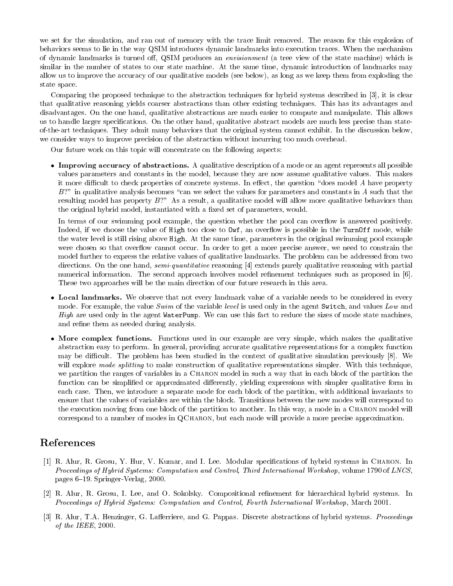we set for the simulation, and ran out of memory with the trace limit removed. The reason for this explosion of behaviors seems to lie in the way QSIM introduces dynamic landmarks into execution traces. When the mechanism of dynamic landmarks is turned off, QSIM produces an *envisionment* (a tree view of the state machine) which is similar in the number of states to our state machine. At the same time, dynamic introduction of landmarks may allow us to improve the accuracy of our qualitative models (see below), as long as we keep them from exploding the state space.

Comparing the proposed technique to the abstraction techniques for hybrid systems described in [3], it is clear that qualitative reasoning yields coarser abstractions than other existing techniques. This has its advantages and disadvantages. On the one hand, qualitative abstractions are much easier to compute and manipulate. This allows us to handle larger specications. On the other hand, qualitative abstract models are much less precise than stateof-the-art techniques. They admit many behaviors that the original system cannot exhibit. In the discussion below, we consider ways to improve precision of the abstraction without incurring too much overhead.

Our future work on this topic will concentrate on the following aspects:

 $\bullet$  Improving accuracy of abstractions. A qualitative description of a mode or an agent represents all possible values parameters and constants in the model, because they are now assume qualitative values. This makes it more difficult to check properties of concrete systems. In effect, the question "does model  $A$  have property  $B$ ?" in qualitative analysis becomes "can we select the values for parameters and constants in A such that the resulting model has property  $B$ ?" As a result, a qualitative model will allow more qualitative behaviors than the original hybrid model, instantiated with a fixed set of parameters, would.

In terms of our swimming pool example, the question whether the pool can overflow is answered positively. Indeed, if we choose the value of High too close to  $\text{Owf}$ , an overflow is possible in the TurnOff mode, while the water level is still rising above High. At the same time, parameters in the original swimming pool example were chosen so that overflow cannot occur. In order to get a more precise answer, we need to constrain the model further to express the relative values of qualitative landmarks. The problem can be addressed from two directions. On the one hand, *semi-quantitative* reasoning [4] extends purely qualitative reasoning with partial numerical information. The second approach involves model refinement techniques such as proposed in [6]. These two approaches will be the main direction of our future research in this area.

- $\bullet$  Local landmarks. We observe that not every landmark value of a variable needs to be considered in every mode. For example, the value Swim of the variable level is used only in the agent Switch, and values Low and High are used only in the agent WaterPump. We can use this fact to reduce the sizes of mode state machines, and refine them as needed during analysis.
- $\bullet$  More complex functions. Functions used in our example are very simple, which makes the qualitative abstraction easy to perform. In general, providing accurate qualitative representations for a complex function may be difficult. The problem has been studied in the context of qualitative simulation previously [8]. We will explore mode splitting to make construction of qualitative representations simpler. With this technique, we partition the ranges of variables in a CHARON model in such a way that in each block of the partition the function can be simplified or approximated differently, yielding expressions with simpler qualitative form in each case. Then, we introduce a separate mode for each block of the partition, with additional invariants to ensure that the values of variables are within the block. Transitions between the new modes will correspond to the execution moving from one block of the partition to another. In this way, a mode in a CHARON model will correspond to a number of modes in QCharon, but each mode will provide a more precise approximation.

## References

- [1] R. Alur, R. Grosu, Y. Hur, V. Kumar, and I. Lee. Modular specications of hybrid systems in Charon. In Proceedings of Hybrid Systems: Computation and Control, Third International Workshop, volume 1790 of LNCS, pages 6{19. Springer-Verlag, 2000.
- [2] R. Alur, R. Grosu, I. Lee, and O. Sokolsky. Compositional renement for hierarchical hybrid systems. In Proceedings of Hybrid Systems: Computation and Control, Fourth International Workshop, March 2001.
- [3] R. Alur, T.A. Henzinger, G. Lafferriere, and G. Pappas. Discrete abstractions of hybrid systems. Proceedings of the IEEE, 2000.